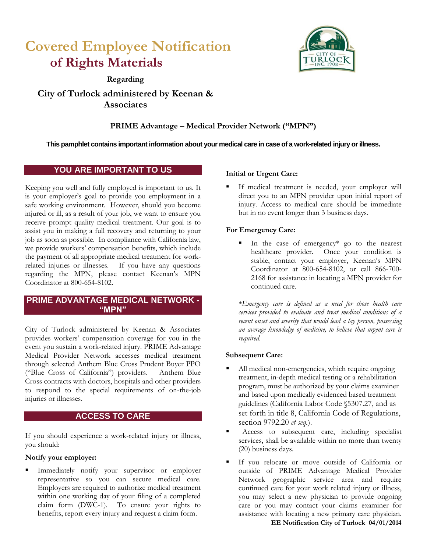# **Covered Employee Notification of Rights Materials**



**Regarding**

## **City of Turlock administered by Keenan & Associates**

## **PRIME Advantage – Medical Provider Network ("MPN")**

## **This pamphlet contains important information about your medical care in case of a work-related injury or illness.**

## **YOU ARE IMPORTANT TO US**

Keeping you well and fully employed is important to us. It is your employer's goal to provide you employment in a safe working environment. However, should you become injured or ill, as a result of your job, we want to ensure you receive prompt quality medical treatment. Our goal is to assist you in making a full recovery and returning to your job as soon as possible. In compliance with California law, we provide workers' compensation benefits, which include the payment of all appropriate medical treatment for workrelated injuries or illnesses. If you have any questions regarding the MPN, please contact Keenan's MPN Coordinator at 800-654-8102.

## **PRIME ADVANTAGE MEDICAL NETWORK - "MPN"**

City of Turlock administered by Keenan & Associates provides workers' compensation coverage for you in the event you sustain a work-related injury. PRIME Advantage Medical Provider Network accesses medical treatment through selected Anthem Blue Cross Prudent Buyer PPO ("Blue Cross of California") providers. Anthem Blue Cross contracts with doctors, hospitals and other providers to respond to the special requirements of on-the-job injuries or illnesses.

## **ACCESS TO CARE**

If you should experience a work-related injury or illness, you should:

## **Notify your employer:**

 Immediately notify your supervisor or employer representative so you can secure medical care. Employers are required to authorize medical treatment within one working day of your filing of a completed claim form (DWC-1). To ensure your rights to benefits, report every injury and request a claim form.

## **Initial or Urgent Care:**

 If medical treatment is needed, your employer will direct you to an MPN provider upon initial report of injury. Access to medical care should be immediate but in no event longer than 3 business days.

## **For Emergency Care:**

 In the case of emergency\* go to the nearest healthcare provider. Once your condition is stable, contact your employer, Keenan's MPN Coordinator at 800-654-8102, or call 866-700- 2168 for assistance in locating a MPN provider for continued care.

*\*Emergency care is defined as a need for those health care services provided to evaluate and treat medical conditions of a recent onset and severity that would lead a lay person, possessing an average knowledge of medicine, to believe that urgent care is required.* 

## **Subsequent Care:**

- All medical non-emergencies, which require ongoing treatment, in-depth medical testing or a rehabilitation program, must be authorized by your claims examiner and based upon medically evidenced based treatment guidelines (California Labor Code §5307.27, and as set forth in title 8, California Code of Regulations, section 9792.20 *et seq.*).
- Access to subsequent care, including specialist services, shall be available within no more than twenty (20) business days.
- If you relocate or move outside of California or outside of PRIME Advantage Medical Provider Network geographic service area and require continued care for your work related injury or illness, you may select a new physician to provide ongoing care or you may contact your claims examiner for assistance with locating a new primary care physician.

**EE Notification City of Turlock 04/01/2014**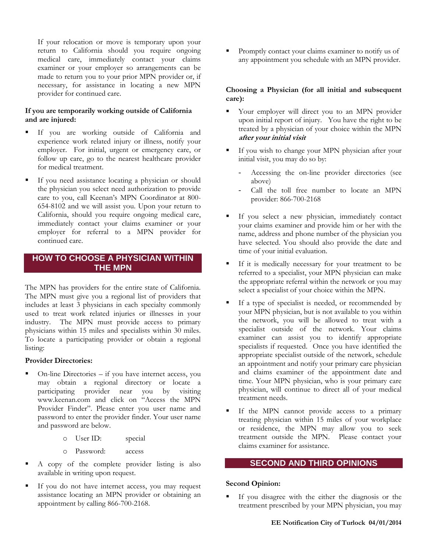If your relocation or move is temporary upon your return to California should you require ongoing medical care, immediately contact your claims examiner or your employer so arrangements can be made to return you to your prior MPN provider or, if necessary, for assistance in locating a new MPN provider for continued care.

#### **If you are temporarily working outside of California and are injured:**

- If you are working outside of California and experience work related injury or illness, notify your employer. For initial, urgent or emergency care, or follow up care, go to the nearest healthcare provider for medical treatment.
- If you need assistance locating a physician or should the physician you select need authorization to provide care to you, call Keenan's MPN Coordinator at 800- 654-8102 and we will assist you. Upon your return to California, should you require ongoing medical care, immediately contact your claims examiner or your employer for referral to a MPN provider for continued care.

## **HOW TO CHOOSE A PHYSICIAN WITHIN THE MPN**

The MPN has providers for the entire state of California. The MPN must give you a regional list of providers that includes at least 3 physicians in each specialty commonly used to treat work related injuries or illnesses in your industry. The MPN must provide access to primary physicians within 15 miles and specialists within 30 miles. To locate a participating provider or obtain a regional listing:

#### **Provider Directories:**

- On-line Directories if you have internet access, you may obtain a regional directory or locate a participating provider near you by visiting www.keenan.com and click on "Access the MPN Provider Finder". Please enter you user name and password to enter the provider finder. Your user name and password are below.
	- o User ID: special
	- o Password: access
- A copy of the complete provider listing is also available in writing upon request.
- If you do not have internet access, you may request assistance locating an MPN provider or obtaining an appointment by calling 866-700-2168.

 Promptly contact your claims examiner to notify us of any appointment you schedule with an MPN provider.

#### **Choosing a Physician (for all initial and subsequent care):**

- Your employer will direct you to an MPN provider upon initial report of injury. You have the right to be treated by a physician of your choice within the MPN **after your initial visit**
- If you wish to change your MPN physician after your initial visit, you may do so by:
	- Accessing the on-line provider directories (see above)
	- Call the toll free number to locate an MPN provider: 866-700-2168
- If you select a new physician, immediately contact your claims examiner and provide him or her with the name, address and phone number of the physician you have selected. You should also provide the date and time of your initial evaluation.
- If it is medically necessary for your treatment to be referred to a specialist, your MPN physician can make the appropriate referral within the network or you may select a specialist of your choice within the MPN.
- If a type of specialist is needed, or recommended by your MPN physician, but is not available to you within the network, you will be allowed to treat with a specialist outside of the network. Your claims examiner can assist you to identify appropriate specialists if requested. Once you have identified the appropriate specialist outside of the network, schedule an appointment and notify your primary care physician and claims examiner of the appointment date and time. Your MPN physician, who is your primary care physician, will continue to direct all of your medical treatment needs.
- If the MPN cannot provide access to a primary treating physician within 15 miles of your workplace or residence, the MPN may allow you to seek treatment outside the MPN. Please contact your claims examiner for assistance.

#### **SECOND AND THIRD OPINIONS**

#### **Second Opinion:**

 If you disagree with the either the diagnosis or the treatment prescribed by your MPN physician, you may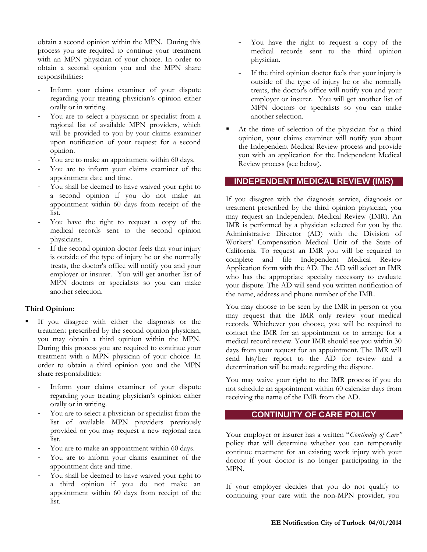obtain a second opinion within the MPN. During this process you are required to continue your treatment with an MPN physician of your choice. In order to obtain a second opinion you and the MPN share responsibilities:

- Inform your claims examiner of your dispute regarding your treating physician's opinion either orally or in writing.
- You are to select a physician or specialist from a regional list of available MPN providers, which will be provided to you by your claims examiner upon notification of your request for a second opinion.
- You are to make an appointment within 60 days.
- You are to inform your claims examiner of the appointment date and time.
- You shall be deemed to have waived your right to a second opinion if you do not make an appointment within 60 days from receipt of the list.
- You have the right to request a copy of the medical records sent to the second opinion physicians.
- If the second opinion doctor feels that your injury is outside of the type of injury he or she normally treats, the doctor's office will notify you and your employer or insurer. You will get another list of MPN doctors or specialists so you can make another selection.

#### **Third Opinion:**

- If you disagree with either the diagnosis or the treatment prescribed by the second opinion physician, you may obtain a third opinion within the MPN. During this process you are required to continue your treatment with a MPN physician of your choice. In order to obtain a third opinion you and the MPN share responsibilities:
	- Inform your claims examiner of your dispute regarding your treating physician's opinion either orally or in writing.
	- You are to select a physician or specialist from the list of available MPN providers previously provided or you may request a new regional area list.
	- You are to make an appointment within 60 days.
	- You are to inform your claims examiner of the appointment date and time.
	- You shall be deemed to have waived your right to a third opinion if you do not make an appointment within 60 days from receipt of the list.
- You have the right to request a copy of the medical records sent to the third opinion physician.
- If the third opinion doctor feels that your injury is outside of the type of injury he or she normally treats, the doctor's office will notify you and your employer or insurer. You will get another list of MPN doctors or specialists so you can make another selection.
- At the time of selection of the physician for a third opinion, your claims examiner will notify you about the Independent Medical Review process and provide you with an application for the Independent Medical Review process (see below).

### **INDEPENDENT MEDICAL REVIEW (IMR)**

If you disagree with the diagnosis service, diagnosis or treatment prescribed by the third opinion physician, you may request an Independent Medical Review (IMR). An IMR is performed by a physician selected for you by the Administrative Director (AD) with the Division of Workers' Compensation Medical Unit of the State of California. To request an IMR you will be required to complete and file Independent Medical Review Application form with the AD. The AD will select an IMR who has the appropriate specialty necessary to evaluate your dispute. The AD will send you written notification of the name, address and phone number of the IMR.

You may choose to be seen by the IMR in person or you may request that the IMR only review your medical records. Whichever you choose, you will be required to contact the IMR for an appointment or to arrange for a medical record review. Your IMR should see you within 30 days from your request for an appointment. The IMR will send his/her report to the AD for review and a determination will be made regarding the dispute.

You may waive your right to the IMR process if you do not schedule an appointment within 60 calendar days from receiving the name of the IMR from the AD.

#### **CONTINUITY OF CARE POLICY**

Your employer or insurer has a written "*Continuity of Care"* policy that will determine whether you can temporarily continue treatment for an existing work injury with your doctor if your doctor is no longer participating in the MPN.

If your employer decides that you do not qualify to continuing your care with the non-MPN provider, you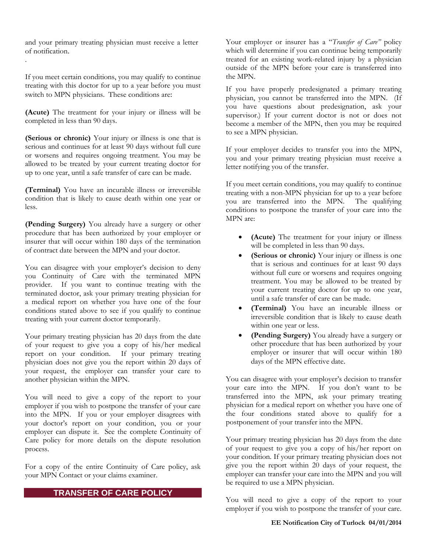and your primary treating physician must receive a letter of notification.

.

If you meet certain conditions, you may qualify to continue treating with this doctor for up to a year before you must switch to MPN physicians. These conditions are:

**(Acute)** The treatment for your injury or illness will be completed in less than 90 days.

**(Serious or chronic)** Your injury or illness is one that is serious and continues for at least 90 days without full cure or worsens and requires ongoing treatment. You may be allowed to be treated by your current treating doctor for up to one year, until a safe transfer of care can be made.

**(Terminal)** You have an incurable illness or irreversible condition that is likely to cause death within one year or less.

**(Pending Surgery)** You already have a surgery or other procedure that has been authorized by your employer or insurer that will occur within 180 days of the termination of contract date between the MPN and your doctor.

You can disagree with your employer's decision to deny you Continuity of Care with the terminated MPN provider. If you want to continue treating with the terminated doctor, ask your primary treating physician for a medical report on whether you have one of the four conditions stated above to see if you qualify to continue treating with your current doctor temporarily.

Your primary treating physician has 20 days from the date of your request to give you a copy of his/her medical report on your condition. If your primary treating physician does not give you the report within 20 days of your request, the employer can transfer your care to another physician within the MPN.

You will need to give a copy of the report to your employer if you wish to postpone the transfer of your care into the MPN. If you or your employer disagrees with your doctor's report on your condition, you or your employer can dispute it. See the complete Continuity of Care policy for more details on the dispute resolution process.

For a copy of the entire Continuity of Care policy, ask your MPN Contact or your claims examiner.

## **TRANSFER OF CARE POLICY**

Your employer or insurer has a "*Transfer of Care*" policy which will determine if you can continue being temporarily treated for an existing work-related injury by a physician outside of the MPN before your care is transferred into the MPN.

If you have properly predesignated a primary treating physician, you cannot be transferred into the MPN. (If you have questions about predesignation, ask your supervisor.) If your current doctor is not or does not become a member of the MPN, then you may be required to see a MPN physician.

If your employer decides to transfer you into the MPN, you and your primary treating physician must receive a letter notifying you of the transfer.

If you meet certain conditions, you may qualify to continue treating with a non-MPN physician for up to a year before you are transferred into the MPN. The qualifying conditions to postpone the transfer of your care into the MPN are:

- **(Acute)** The treatment for your injury or illness will be completed in less than 90 days.
- **(Serious or chronic)** Your injury or illness is one that is serious and continues for at least 90 days without full cure or worsens and requires ongoing treatment. You may be allowed to be treated by your current treating doctor for up to one year, until a safe transfer of care can be made.
- **(Terminal)** You have an incurable illness or irreversible condition that is likely to cause death within one year or less.
- **(Pending Surgery)** You already have a surgery or other procedure that has been authorized by your employer or insurer that will occur within 180 days of the MPN effective date.

You can disagree with your employer's decision to transfer your care into the MPN. If you don't want to be transferred into the MPN, ask your primary treating physician for a medical report on whether you have one of the four conditions stated above to qualify for a postponement of your transfer into the MPN.

Your primary treating physician has 20 days from the date of your request to give you a copy of his/her report on your condition. If your primary treating physician does not give you the report within 20 days of your request, the employer can transfer your care into the MPN and you will be required to use a MPN physician.

You will need to give a copy of the report to your employer if you wish to postpone the transfer of your care.